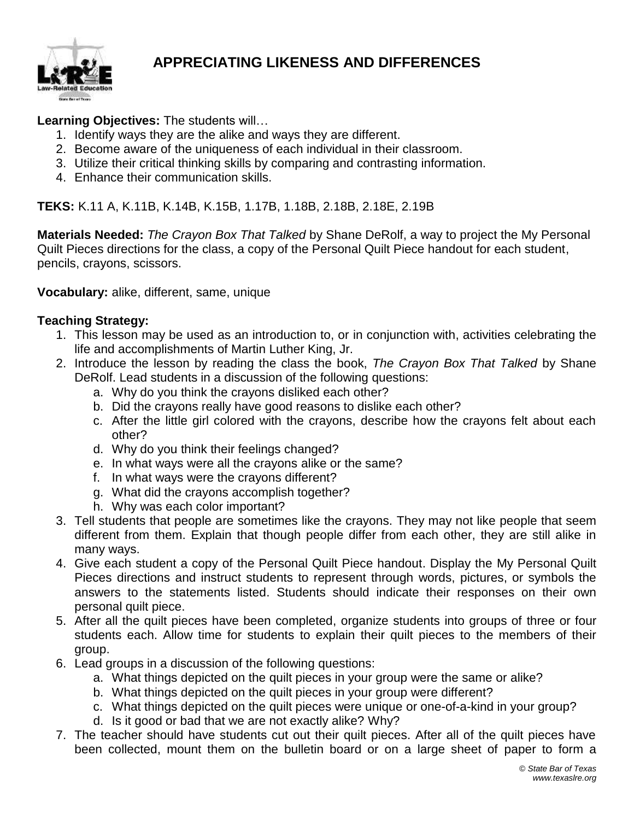

## **APPRECIATING LIKENESS AND DIFFERENCES**

### **Learning Objectives:** The students will…

- 1. Identify ways they are the alike and ways they are different.
- 2. Become aware of the uniqueness of each individual in their classroom.
- 3. Utilize their critical thinking skills by comparing and contrasting information.
- 4. Enhance their communication skills.

**TEKS:** K.11 A, K.11B, K.14B, K.15B, 1.17B, 1.18B, 2.18B, 2.18E, 2.19B

**Materials Needed:** *The Crayon Box That Talked* by Shane DeRolf, a way to project the My Personal Quilt Pieces directions for the class, a copy of the Personal Quilt Piece handout for each student, pencils, crayons, scissors.

**Vocabulary:** alike, different, same, unique

#### **Teaching Strategy:**

- 1. This lesson may be used as an introduction to, or in conjunction with, activities celebrating the life and accomplishments of Martin Luther King, Jr.
- 2. Introduce the lesson by reading the class the book, *The Crayon Box That Talked* by Shane DeRolf. Lead students in a discussion of the following questions:
	- a. Why do you think the crayons disliked each other?
	- b. Did the crayons really have good reasons to dislike each other?
	- c. After the little girl colored with the crayons, describe how the crayons felt about each other?
	- d. Why do you think their feelings changed?
	- e. In what ways were all the crayons alike or the same?
	- f. In what ways were the crayons different?
	- g. What did the crayons accomplish together?
	- h. Why was each color important?
- 3. Tell students that people are sometimes like the crayons. They may not like people that seem different from them. Explain that though people differ from each other, they are still alike in many ways.
- 4. Give each student a copy of the Personal Quilt Piece handout. Display the My Personal Quilt Pieces directions and instruct students to represent through words, pictures, or symbols the answers to the statements listed. Students should indicate their responses on their own personal quilt piece.
- 5. After all the quilt pieces have been completed, organize students into groups of three or four students each. Allow time for students to explain their quilt pieces to the members of their group.
- 6. Lead groups in a discussion of the following questions:
	- a. What things depicted on the quilt pieces in your group were the same or alike?
	- b. What things depicted on the quilt pieces in your group were different?
	- c. What things depicted on the quilt pieces were unique or one-of-a-kind in your group?
	- d. Is it good or bad that we are not exactly alike? Why?
- 7. The teacher should have students cut out their quilt pieces. After all of the quilt pieces have been collected, mount them on the bulletin board or on a large sheet of paper to form a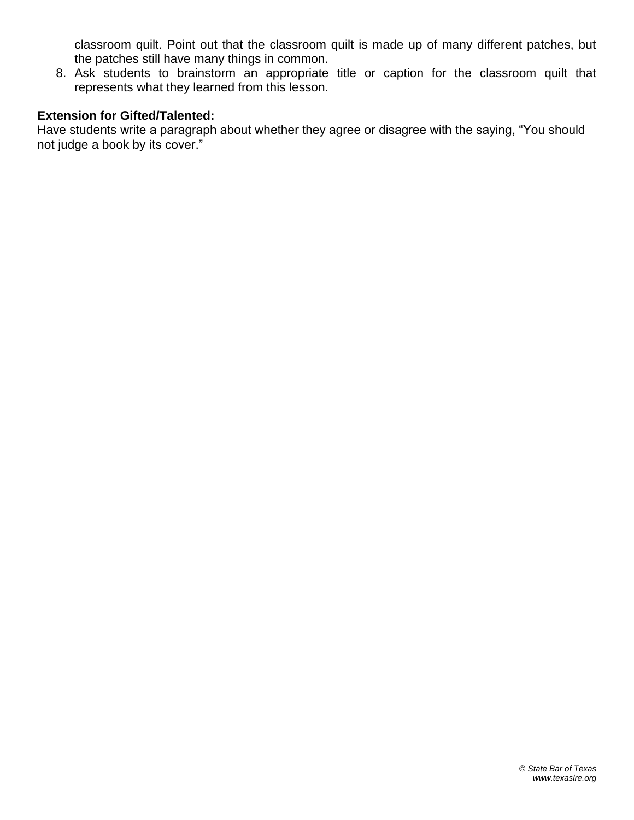classroom quilt. Point out that the classroom quilt is made up of many different patches, but the patches still have many things in common.

8. Ask students to brainstorm an appropriate title or caption for the classroom quilt that represents what they learned from this lesson.

#### **Extension for Gifted/Talented:**

Have students write a paragraph about whether they agree or disagree with the saying, "You should not judge a book by its cover."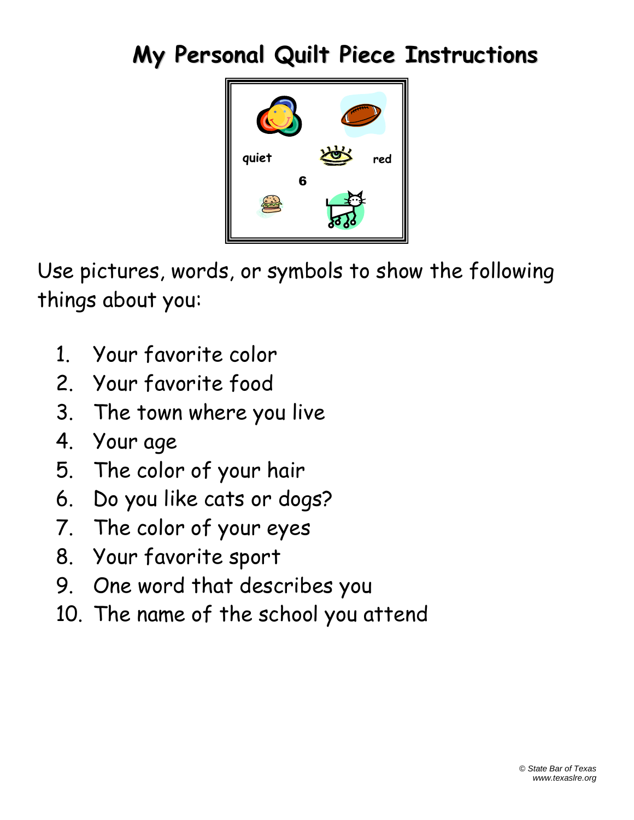# **My Personal Quilt Piece Instructions**



Use pictures, words, or symbols to show the following things about you:

- 1. Your favorite color
- 2. Your favorite food
- 3. The town where you live
- 4. Your age
- 5. The color of your hair
- 6. Do you like cats or dogs?
- 7. The color of your eyes
- 8. Your favorite sport
- 9. One word that describes you
- 10. The name of the school you attend